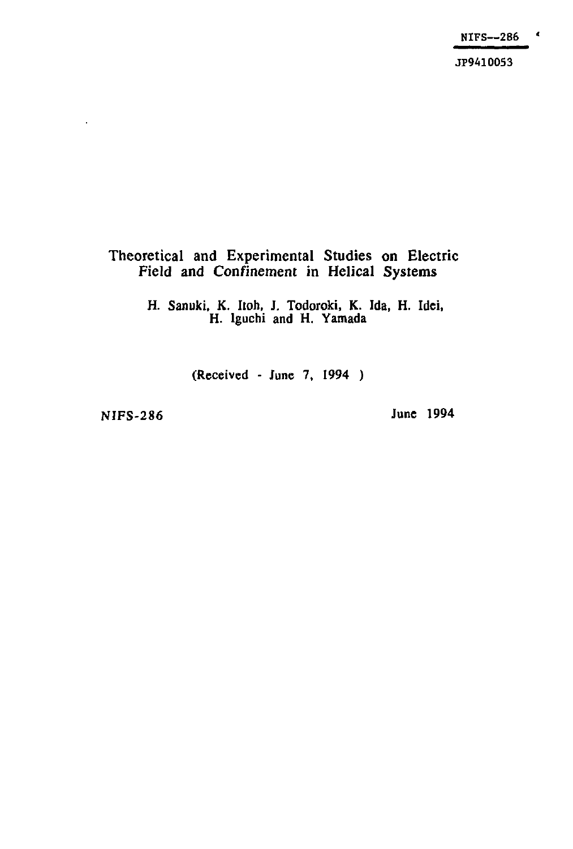$\pmb{\epsilon}$ NIFS—286

JP9410053

#### **Theoretical and Experimental Studies on Electric Field and Confinement in Helical Systems**

**H. Sanuki, K. Itoh, J. Todoroki, K. Ida, H. Idei, H. Iguchi and H. Yamada** 

**(Received - June 7, 1994 )** 

l,

**NIFS-286 June 1994**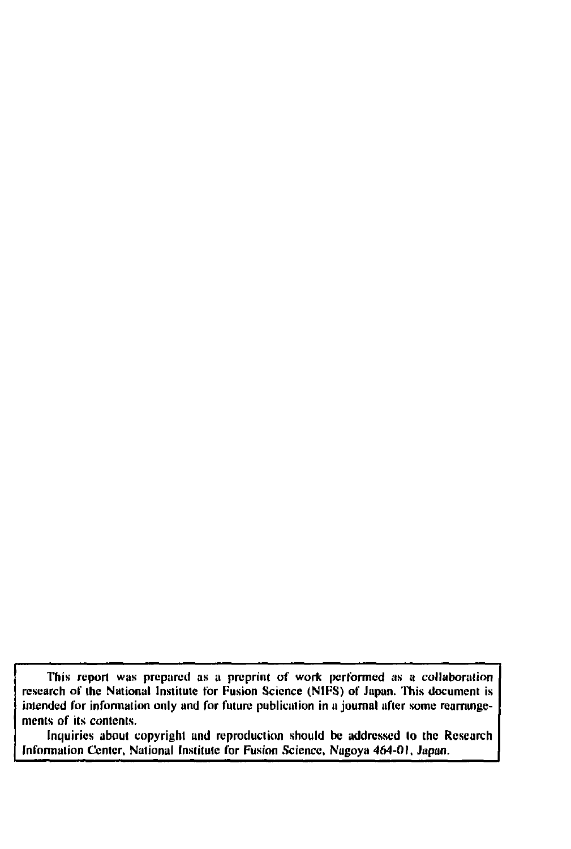**This report was prepared as a preprint of work performed as a collaboration research of the National Institute for Fusion Science (NIFS) of Japan. This document is intended for information only and for future publication in u journal after some rearrangements of ils contents.** 

**Inquiries about copyright and reproduction should be addressed lo the Research**  Information Center, National Institute for Fusion Science, Nagoya 464-01, Japan.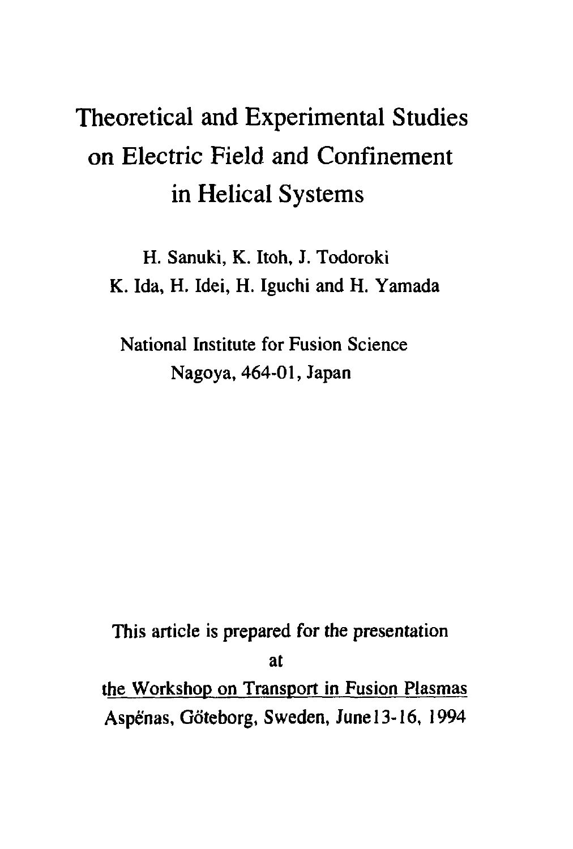# Theoretical and Experimental Studies on Electric Field and Confinement in Helical Systems

H. Sanuki, K. Itoh, J. Todoroki K. Ida, H. Idei, H. Iguchi and H. Yamada

National Institute for Fusion Science Nagoya, 464-01, Japan

This article is prepared for the presentation at the Workshop on Transport in Fusion Plasmas Aspe'nas, Gdteborg, Sweden, June 13-16, 1994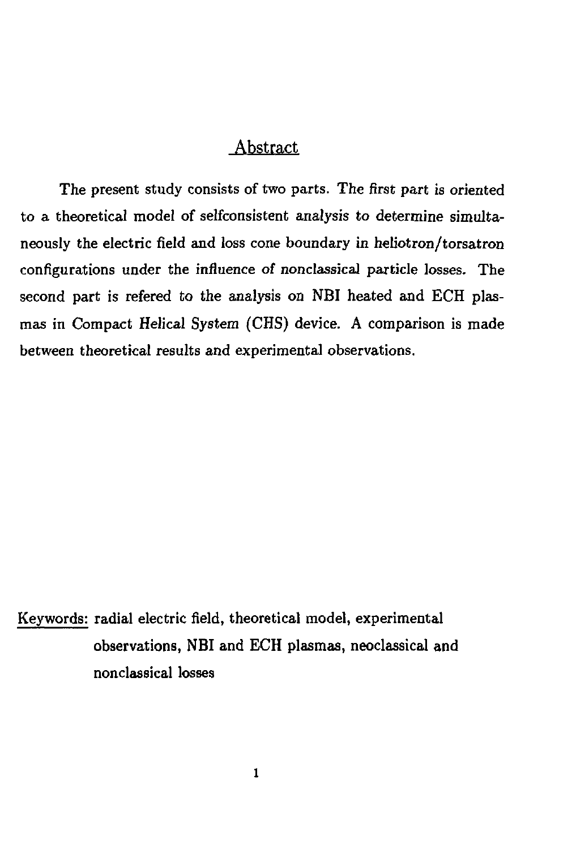## Abstract

The present study consists of two parts. The first part is oriented to a theoretical model of selfconsistent analysis to determine simultaneously the electric field and loss cone boundary in heliotron/torsatron configurations under the influence of nonclassical particle losses. The second part is refered to the analysis on NBI heated and ECH plasmas in Compact Helical System (CHS) device. A comparison is made between theoretical results and experimental observations.

Keywords: radial electric field, theoretical model, experimental observations, NBI and ECH plasmas, neoclassical and nonclassical losses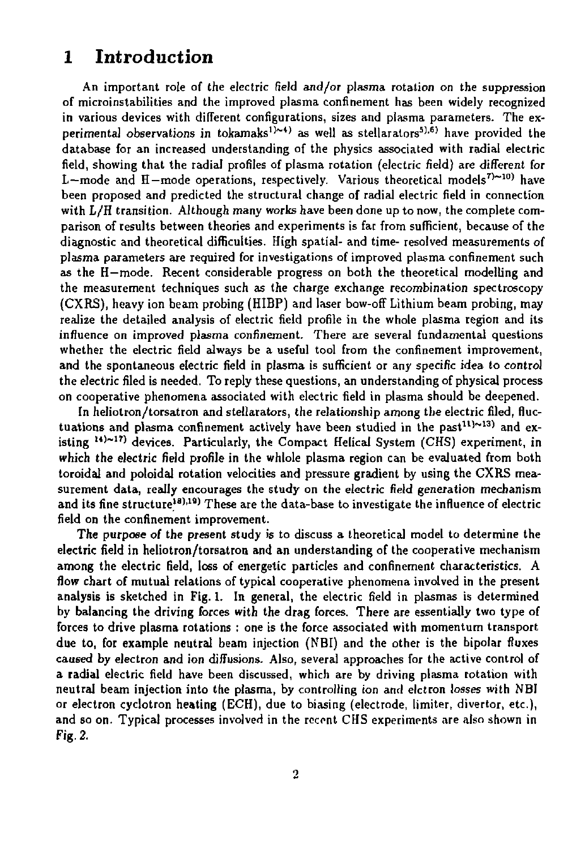# 1 Introduction

An important role of the electric field and/or plasma rotation on the suppression of microinstabilities and the improved plasma confinement has been widely recognized in various devices with different configurations, sizes and plasma parameters. The experimental observations in tokamaks<sup>1)~4)</sup> as well as stellarators<sup>5),6)</sup> have provided the database for an increased understanding of the physics associated with radial electric field, showing that the radial profiles of plasma rotation (electric field) are different for L-mode and H-mode operations, respectively. Various theoretical models<sup>7</sup> $\sim$ <sup>10</sup> have been proposed and predicted the structural change of radial electric field in connection with L/H transition. Although many works have been done up to now, the complete comparison of results between theories and experiments is far from sufficient, because of the diagnostic and theoretical difficulties. High spatial- and time- resolved measurements of plasma parameters are required for investigations of improved plasma confinement such as the H—mode. Recent considerable progress on both the theoretical modelling and the measurement techniques such as the charge exchange recombination spectroscopy (CXRS), heavy ion beam probing (HIBP) and laser bow-off Lithium beam probing, may realize the detailed analysis of electric field profile in the whole plasma region and its influence on improved plasma confinement. There are several fundamental questions whether the electric field always be a useful tool from the confinement improvement, and the spontaneous electric field in plasma is sufficient or any specific idea to control the electric filed is needed. To reply these questions, an understanding of physical process on cooperative phenomena associated with electric field in plasma should be deepened.

In heliotron/torsatron and stellarators, the relationship among the electric filed, fluctuations and plasma confinement actively have been studied in the past<sup>11</sup> $\sim$ <sup>13</sup>) and existing <sup>14)~17</sup>) devices. Particularly, the Compact Helical System (CHS) experiment, in which the electric field profile in the whlole plasma region can be evaluated from both toroidal and poloidal rotation velocities and pressure gradient by using the CXRS measurement data, really encourages the study on the electric field generation mechanism and its fine structure<sup>18</sup>,<sup>19</sup>) These are the data-base to investigate the influence of electric field on the confinement improvement.

The purpose *of* the present study is to discuss a theoretical model to determine the electric field in heliotron/torsatron and an understanding of the cooperative mechanism among the electric field, loss of energetic particles and confinement characteristics. A flow chart of mutual relations of typical cooperative phenomena involved in the present analysis is sketched in Fig. 1. In general, the electric field in plasmas is determined by balancing the driving forces with the drag forces. There are essentially two type of forces to drive plasma rotations : one is the force associated with momentum transport due to, for example neutral beam injection (NBl) and the other is the bipolar fluxes caused by electron and ion diffusions. Also, several approaches for the active control of a radial electric field have been discussed, which are by driving plasma rotation with neutral beam injection into the plasma, by controlling ion and elctron losses with NBI or electron cyclotron heating (ECH), due to biasing (electrode, limiter, divertor, etc.), and so on. Typical processes involved in the recent CHS experiments are also shown in Fig. 2.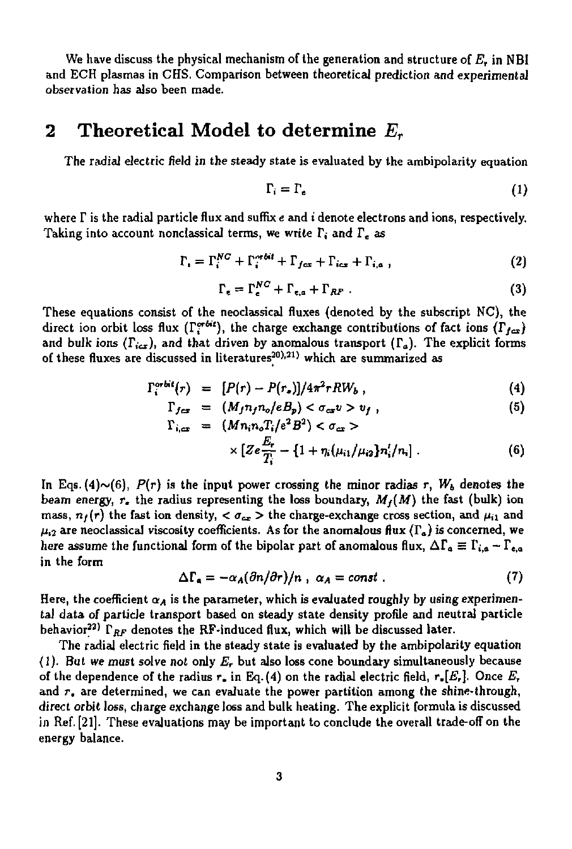We have discuss the physical mechanism of the generation and structure of  $E_{\rm r}$  in NBI and ECH plasmas in CHS. Comparison between theoretical prediction and experimental observation has also been made.

## **2 Theoretical Model to determine** *E<sup>r</sup>*

The radial electric field in the steady state is evaluated by the ambipolarity equation

$$
\Gamma_i = \Gamma_e \tag{1}
$$

where T is the radial particle flux and suffix *e* and *i* denote electrons and ions, respectively. Taking into account nonclassical terms, we write T, and *V<sup>e</sup> as* 

$$
\Gamma_i = \Gamma_i^{NC} + \Gamma_i^{mbit} + \Gamma_{fcs} + \Gamma_{ics} + \Gamma_{i,a} \,, \tag{2}
$$

$$
\Gamma_e = \Gamma_e^{NC} + \Gamma_{e,a} + \Gamma_{RF} \tag{3}
$$

These equations consist of the neoclassical fluxes (denoted by the subscript NC), the direct ion orbit loss flux ( $\Gamma_i^{orbit}$ ), the charge exchange contributions of fact ions ( $\Gamma_{f\alpha x}$ ) and bulk ions  $(\Gamma_{i\text{cr}})$ , and that driven by anomalous transport  $(\Gamma_a)$ . The explicit forms of these fluxes are discussed in literatures<sup>20),21)</sup> which are summarized as

$$
\Gamma_i^{orbit}(r) = [P(r) - P(r_*)]/4\pi^2 r R W_b , \qquad (4)
$$

$$
\Gamma_{fcs} = (M_f n_f n_o / e B_p) < \sigma_{cs} v > v_f , \qquad (5)
$$

$$
\Gamma_{i,\text{cr}} = (Mn_i n_o T_i / e^2 B^2) < \sigma_{\text{cr}} > \\
\text{if } \Gamma_{\text{cr}} = \frac{E_r}{(1 + \mu / \mu / \mu + \mu / \mu + \mu / \mu + \mu / \mu + \mu / \mu + \mu / \mu + \mu / \mu + \mu / \mu + \mu / \mu + \mu / \mu + \mu / \mu + \mu / \mu + \mu / \mu + \mu / \mu + \mu / \mu + \mu / \mu + \mu / \mu + \mu / \mu + \mu / \mu + \mu / \mu + \mu / \mu + \mu / \mu + \mu / \mu + \mu / \mu + \mu / \mu + \mu / \mu + \mu / \mu + \mu / \mu + \mu / \mu + \mu / \mu + \mu / \mu + \mu / \mu + \mu / \mu + \mu / \mu + \mu / \mu + \mu / \mu + \mu / \mu + \mu / \mu + \mu / \mu + \mu / \mu + \mu / \mu + \mu / \mu + \mu / \mu + \mu / \mu + \mu / \mu + \mu / \mu + \mu / \mu + \mu / \mu + \mu / \mu + \mu / \mu + \mu / \mu + \mu / \mu + \mu / \mu + \mu / \mu + \mu / \mu + \mu / \mu + \mu / \mu + \mu / \mu + \mu / \mu + \mu / \mu + \mu / \mu + \mu / \mu + \mu / \mu + \mu / \mu + \mu / \mu + \mu / \mu + \mu / \mu + \mu / \mu + \mu / \mu + \mu / \mu + \mu / \mu + \mu / \mu + \mu / \mu + \mu / \mu + \mu / \mu + \mu / \mu + \mu / \mu + \mu / \mu + \mu / \mu + \mu / \mu + \mu / \mu + \mu / \mu + \mu / \mu + \mu / \mu + \mu / \mu + \mu / \mu + \mu / \mu + \mu / \mu + \mu / \mu + \mu / \mu + \mu / \mu + \mu / \mu + \mu / \mu + \mu / \mu + \mu / \mu + \mu / \mu + \mu / \mu + \mu / \mu + \mu / \mu + \mu / \mu + \mu / \mu + \mu / \mu + \mu / \mu + \mu / \mu + \mu / \mu + \mu / \mu + \mu / \mu + \mu / \mu + \mu / \mu + \mu / \mu + \mu / \mu + \mu / \mu + \mu / \mu + \mu / \mu + \mu / \mu + \mu /
$$

$$
\times \left[ Ze \frac{L_r}{T_i} - \left\{1 + \eta_i(\mu_{i1}/\mu_{i2}) n'_i/n_i \right\} \right]. \tag{6}
$$

In Eqs. (4) $\sim$ (6),  $P(r)$  is the input power crossing the minor radias r,  $W<sub>b</sub>$  denotes the beam energy,  $r<sub>z</sub>$  the radius representing the loss boundary,  $M<sub>f</sub>(M)$  the fast (bulk) ion mass,  $n_f(r)$  the fast ion density,  $\langle \sigma_{ex} \rangle$  the charge-exchange cross section, and  $\mu_{i1}$  and  $\mu_{12}$  are neoclassical viscosity coefficients. As for the anomalous flux ( $\Gamma_a$ ) is concerned, we here assume the functional form of the bipolar part of anomalous flux,  $\Delta\Gamma_a\equiv\Gamma_{i,a}-\Gamma_{e,a}$ in the form

$$
\Delta\Gamma_a = -\alpha_A(\partial n/\partial r)/n \ , \ \alpha_A = const \ . \tag{7}
$$

Here, the coefficient  $\alpha_{\bm A}$  is the parameter, which is evaluated roughly by using experimental data of particle transport based on steady state density profile and neutral particle behavior<sup>22)</sup>  $\Gamma_{RF}$  denotes the RF-induced flux, which will be discussed later.

The radial electric field in the steady state is evaluated by the ambipolarity equation (1). But we must solve not only *E<sup>r</sup>* but also loss cone boundary simultaneously because of the dependence of the radius  $r_*$  in Eq. (4) on the radial electric field,  $r_*[E_r]$ . Once  $E_r$ and  $r<sub>e</sub>$  are determined, we can evaluate the power partition among the shine-through, direct orbit loss, charge exchange loss and bulk heating. The explicit formula is discussed in Ref. [21]. These evaluations may be important to conclude the overall trade-off on the energy balance.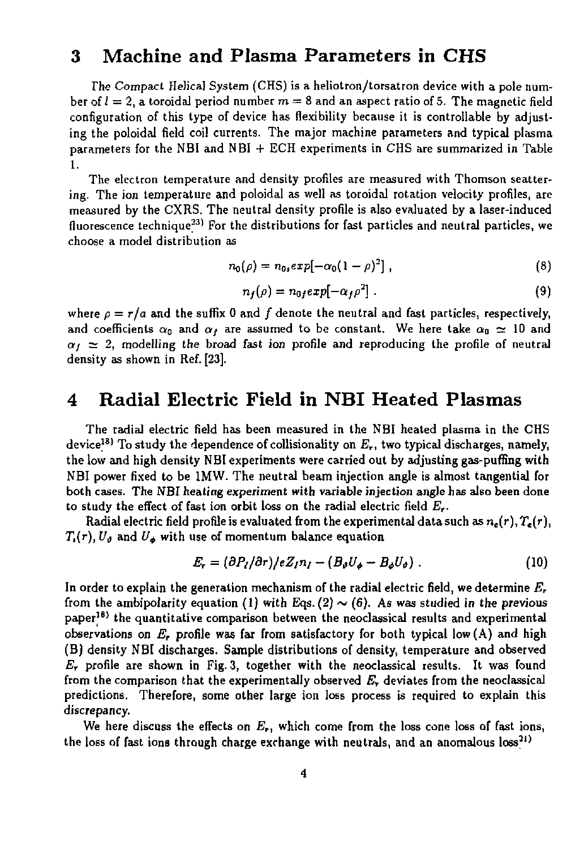## 3 Machine and Plasma Parameters in CHS

*The* Compact HeJica] System (CHS) is a heliotron/torsatron device with a pole number of  $l = 2$ , a toroidal period number  $m = 8$  and an aspect ratio of 5. The magnetic field configuration of this type of device has flexibility because it is controllable by adjusting the poloidal field coil currents. The major machine parameters and typical plasma parameters for the NBI and NBl + ECH experiments in CHS are summarized in Table 1.

The electron temperature and density profiles are measured with Thomson scattering. The ion temperature and poloidal as well as toroidal rotation velocity profiles, are measured by the CXRS. The neutral density profile is also evaluated by a laser-induced fluorescence technique<sup>23)</sup> For the distributions for fast particles and neutral particles, we choose a model distribution as

$$
n_0(\rho) = n_0 \exp[-\alpha_0 (1 - \rho)^2], \qquad (8)
$$

$$
n_f(\rho) = n_0 \exp[-\alpha_f \rho^2]. \tag{9}
$$

where  $\rho = r/a$  and the suffix 0 and f denote the neutral and fast particles, respectively, and coefficients  $\alpha_0$  and  $\alpha_f$  are assumed to be constant. We here take  $\alpha_0 \simeq 10$  and  $\alpha_i \simeq 2$ , modelling the broad fast ion profile and reproducing the profile of neutral density as shown in Ref. [23].

# 4 Radial Electric Field in NBI Heated Plasmas

The radial electric field has been measured in the NBI heated plasma in the CHS device^<sup>8</sup> ' To study the dependence of collisionality on *E<sup>r</sup> ,* two typical discharges, namely, the low and high density NBI experiments were carried out by adjusting gas-puffing with NBI power fixed to be 1MW. The neutral beam injection angle is almost tangential for both cases. The NBI heating experiment with variable injection angle has also been done to study the effect of fast ion orbit loss on the radial electric field *E<sup>T</sup> .* 

Radial electric field profile is evaluated from the experimental data such as  $n_e(r)$ ,  $T_e(r)$ ,  $T_{\epsilon}(r)$ ,  $U_{\vartheta}$  and  $U_{\varphi}$  with use of momentum balance equation

$$
E_r = (\partial P_l / \partial r) / e Z_l n_l - (B_\theta U_\phi - B_\phi U_\theta) \ . \tag{10}
$$

In order to explain the generation mechanism of the radial electric field, we determine *E,*  from the ambipolarity equation (1) with Eqs. (2)  $\sim$  (6). As was studied in the previous paper<sup>18)</sup> the quantitative comparison between the neoclassical results and experimental observations on *E,* profile was far from satisfactory for both typical low (A) and high (B) density NBI discharges. Sample distributions of density, temperature and observed *Er* profile are shown in Fig. 3, together with the neoclassical results. It was found from the comparison that the experimentally observed *E<sup>r</sup>* deviates from the neoclassical predictions. Therefore, some other large ion loss process is required to explain this discrepancy.

We here discuss the effects on *E<sup>r</sup> ,* which come from the loss cone loss of fast ions, the loss of fast ions through charge exchange with neutrals, and an anomalous  $\textsf{loss}^{31)}$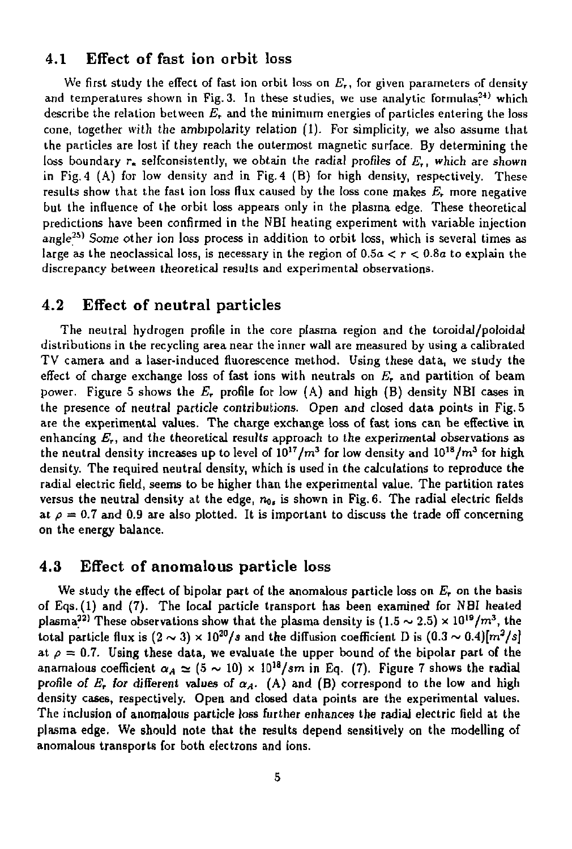#### **4.1 Effect of fast ion orbit** loss

We first study the effect of fast ion orbit loss on *E<sup>r</sup> ,* for given parameters of density and temperatures shown in Fig. 3. In these studies, we use analytic formulas<sup>24)</sup> which describe the relation between *E,* and the minimum energies of particles entering the loss cone, together with the ambipolarity relation (1). For simplicity, we also assume that the particles are lost if they reach the outermost magnetic surface. By determining the loss boundary r. selfconsistently, we obtain the radial profiles of *£,,* which are shown in Fig. 4 (A) for low density and in Fig. 4 (B) for high density, respectively. These results show that the fast ion loss flux caused by the loss cone makes *E<sup>r</sup>* more negative but the influence of the orbit loss appears only in the plasma edge. These theoretical predictions have been confirmed in the NBI heating experiment with variable injection angle<sup>25)</sup> Some other ion loss process in addition to orbit loss, which is several times as large as the neoclassical loss, is necessary in the region of  $0.5a < r < 0.8a$  to explain the discrepancy between theoretical results and experimental observations.

#### 4.2 Effect of neutral particles

The neutral hydrogen profile in the core plasma region and the toroidal/poloidal distributions in the recycling area near the inner wall are measured by using a calibrated TV camera and a laser-induced fluorescence method. Using these data, we study the effect of charge exchange loss of fast ions with neutrals on *E<sup>r</sup>* and partition of beam power. Figure 5 shows the *E,* profile for low (A) and high (B) density NBI cases in the presence of neutral particle contributions. Open and closed data points in Fig. 5 are the experimental values. The charge exchange loss of fast ions can be effective in enhancing *E<sup>r</sup> ,* and the theoretical results approach to the experimental observations as the neutral density increases up to level of  $10^{17}/m^3$  for low density and  $10^{18}/m^3$  for high density. The required neutral density, which is used in the calculations to reproduce the radial electric field, seems to be higher than the experimental value. The partition rates versus the neutral density at the edge,  $n_{0,t}$  is shown in Fig. 6. The radial electric fields at  $\rho = 0.7$  and 0.9 are also plotted. It is important to discuss the trade off concerning on the energy balance.

#### 4.3 Effect of anomalous particle loss

We study the effect of bipolar part of the anomalous particle loss on  $E_{\bm r}$  on the basis of Eqs.(l) and (7). The local particle transport has been examined for NBI heated plasma<sup>22</sup> These observations show that the plasma density is  $(1.5 \sim 2.5) \times 10^{19}/m^3$ , the total particle flux is  $(2 \sim 3) \times 10^{20} / s$  and the diffusion coefficient D is  $(0.3 \sim 0.4) [m^2/s]$ at  $\rho = 0.7$ . Using these data, we evaluate the upper bound of the bipolar part of the anamalous coefficient  $\alpha_A \simeq (5 \sim 10) \times 10^{18} / \text{s}m$  in Eq. (7). Figure 7 shows the radial profile of  $E_r$  for different values of  $\alpha_A$ . (A) and (B) correspond to the low and high density cases, respectively. Open and closed data points are the experimental values. The inclusion of anomalous particle loss further enhances the radial electric field at the plasma edge. We should note that the results depend sensitively on the modelling of anomalous transports for both electrons and ions.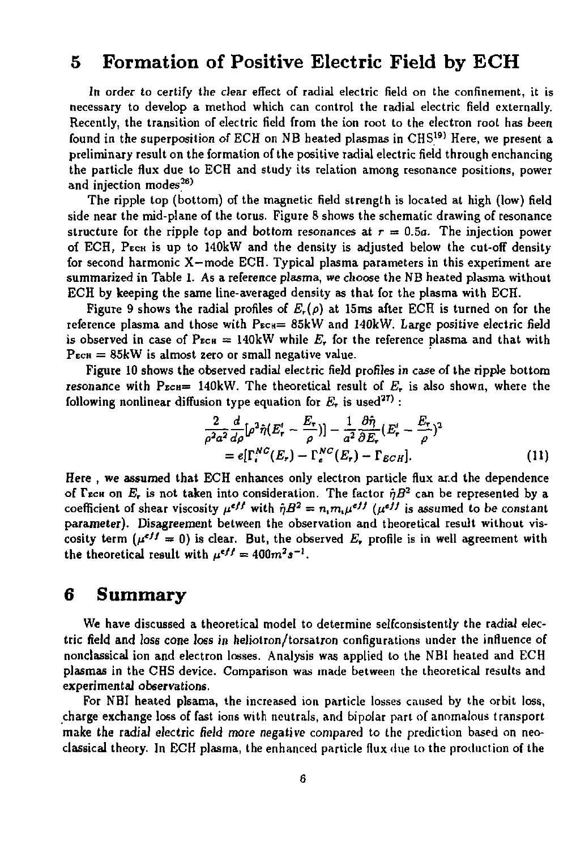## 5 Formation of Positive Electric Field by ECH

In order *to* certify the clear effect of radial electric field on the confinement, it is necessary to develop a method which can control the radial electric field externally. Recently, the transition of electric field from the ion root to the electron root has been found in the superposition of ECH on NB heated plasmas in  $CHS<sup>(9)</sup>$  Here, we present a preliminary result on the formation of the positive radial electric field through enchancing the particle flux due to ECH and study its relation among resonance positions, power and injection modes<sup>26)</sup>

The ripple top (bottom) of the magnetic field strength is located at high (low) field side near the mid-plane of the torus. Figure 8 shows the schematic drawing of resonance structure for the ripple top and bottom resonances at  $r = 0.5a$ . The injection power of ECH, PECH is up to 140kW and the density is adjusted below the cut-off density for second harmonic X—mode ECH. Typical plasma parameters in this experiment are summarized in Table 1. As a reference plasma, we choose the NB heated plasma without ECH by keeping the same line-averaged density as that for the plasma with ECH.

Figure 9 shows the radial profiles of  $E_r(\rho)$  at 15ms after ECH is turned on for the reference plasma and those with  $P_{ECH} = 85kW$  and  $140kW$ . Large positive electric field is observed in case of  $P_{ECH} = 140kW$  while  $E_r$  for the reference plasma and that with  $P_{ECH} = 85kW$  is almost zero or small negative value.

Figure 10 shows the observed radial electric field profiles in case of the ripple bottom resonance with  $P_{ECH}$ = 140kW. The theoretical result of  $E<sub>r</sub>$  is also shown, where the following nonlinear diffusion type equation for  $E_r$  is used<sup>27)</sup>:

$$
\frac{2}{\rho^2 a^2} \frac{d}{d\rho} [\rho^2 \hat{\eta} (E_r' - \frac{E_r}{\rho})] - \frac{1}{a^2} \frac{\partial \hat{\eta}}{\partial E_r} (E_r' - \frac{E_r}{\rho})^2
$$
  
=  $e[\Gamma_r^{NC}(E_r) - \Gamma_c^{NC}(E_r) - \Gamma_{ECH}].$  (11)

Here , we assumed that ECH enhances only electron particle flux ar.d the dependence of Lech on  $E_r$  is not taken into consideration. The factor  $\eta B^2$  can be represented by a coefficient of shear viscosity  $\mu^{2}$ <sup>2</sup> with  $\eta B^2 = n_i m_i \mu^{2j}$  ( $\mu^{2j}$ ) is assumed to be constant parameter). Disagreement between the observation and theoretical result without viscosity term  $(\mu^{2}) = 0$  is clear. But, the observed  $E_r$  profile is in well agreement with the theoretical result with  $\mu^{2}$ <sup>*,*</sup>  $\equiv$  400*m*<sup>2</sup>*s*  $\cdot$ .

### 6 Summary

We have discussed a theoretical model to determine selfconsistently the radial electric field and loss cone loss in heliotron/torsatron configurations under the influence of nonclassical ion and electron losses. Analysis was applied to the NBI heated and ECH plasmas in the CHS device. Comparison was made between the theoretical results and experimental observations.

For NBI heated plsama, the increased ion particle losses caused by the orbit loss, charge exchange loss of fast ions with neutrals, and bipolar part of anomalous transport make the radial electric field more negative compared to the prediction based on neoclassical theory. In ECH plasma, the enhanced particle flux due to the production of the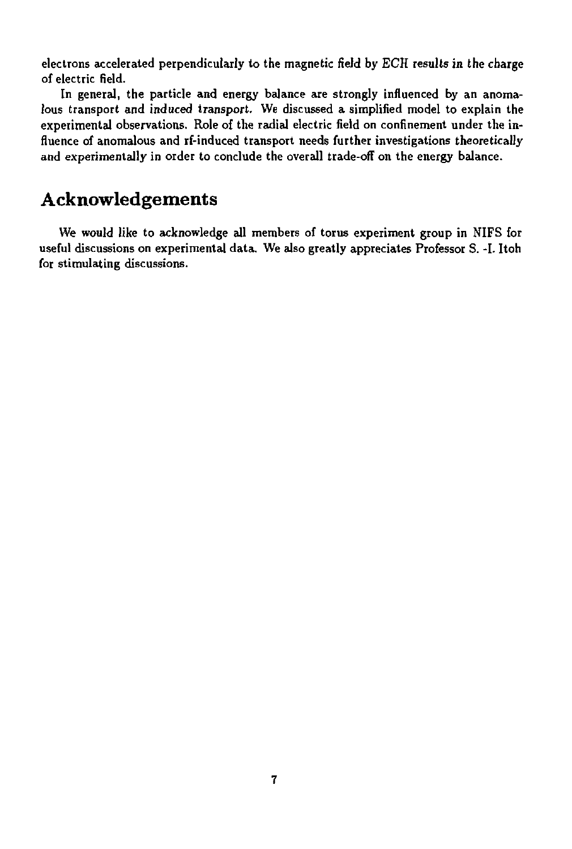electrons accelerated perpendicularly to the magnetic field by ECH results in the charge of electric field.

In general, the particle and energy balance are strongly influenced by an anomalous transport and induced transport. We discussed a simplified model to explain the experimental observations. Role of the radial electric field on confinement under the influence of anomalous and rf-induced transport needs further investigations theoretically and experimentally in order to conclude the overall trade-off on the energy balance.

# Acknowledgements

We would like to acknowledge all members of torus experiment group in NIFS for useful discussions on experimental data. We also greatly appreciates Professor S. -I. Itoh for stimulating discussions.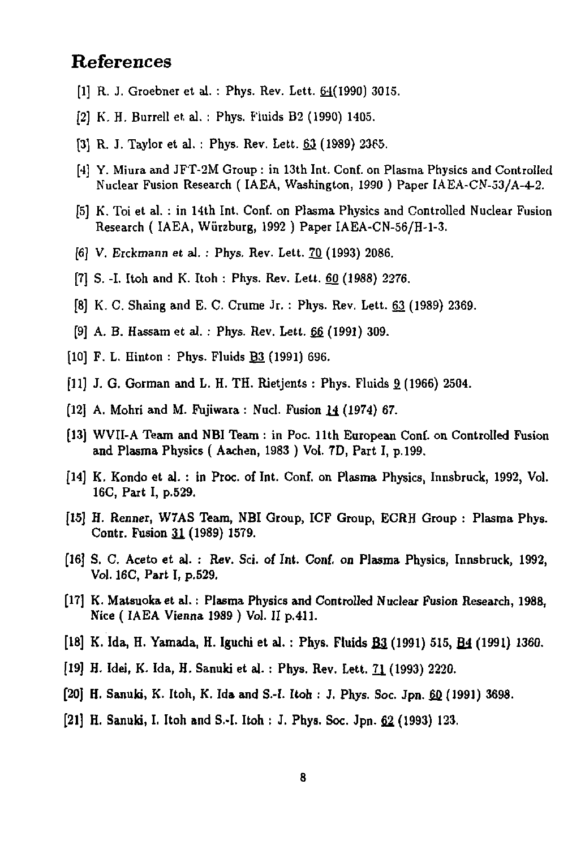## References

- **[1] R. J. Groebner et al. : Phys. Rev. Lett. 61(1990) 301S.**
- **[2] K. H. Burrell et, al. : Phys. Fluids B2 (1990) 1405.**
- [3] R. J. Taylor et al. : Phys. Rev. Lett. 63 (1989) 2365.
- **[4] Y. Miura and JFT-2M Group : in 13th Int. Conf. on Plasma Physics and Controlled Nuclear Fusion Research ( IAEA, Washington, 1990 ) Paper IAEA-CN-53/A-4-2.**
- **[5] K. Toi et al. : in 14th Int. Conf. on Plasma Physics and Controlled Nuclear Fusion Research ( IAEA, Wurzburg, 1992 ) Paper IAEA-CN-56/H-1-3.**
- **[6] V. Erckmann et al. : Phys. Rev. Lett. 70 (1993) 2086.**
- **[7] S. -I. Itoh and K. Itoh : Phys. Rev. Lett. 60 (1988) 2276.**
- **[8] K. C. Shaing and E. C. Crume Jr. : Phys. Rev. Lett. 63 (1989) 2369.**
- [9] A. B. Hassam et al. : Phys. Rev. Lett. 66 (1991) 309.
- **[10] F. L. Hinton : Phys. Fluids B2 (1991) 696.**
- **[11] J. G. Gorman and L. H. TH. Rietjents : Phys. Fluids 9. (1966) 2504.**
- **[12] A. Mohri and** *U.* **Fujiwara : Nucl. Fusion** *1±* **(1974) 67.**
- **[13] WVII-A Team and NBI Team : in Poc. 11th European Conf. on Controlled Fusion and Plasma Physics ( Aachen, 1983 ) Vol. 7D, Part I, p. 199.**
- **[14] K. Kondo et al. : in Proc. of Int. Conf. on Plasma Physics, Innsbruck, 1992, Vol. 16C, Part I, p.529.**
- **[15] H. Renner, W7AS Team, NBI Group, ICF Group, ECRH Group : Plasma Phys. Contr. Fusion 31 (1989) 1579.**
- **[16] S. C. Aceto et al. : Rev. Sci. of Int. Conf. on Plasma Physics, Innsbruck, 1992, Vol. 16C, Part I, p.529.**
- **[17] K. Matsuokaet al.: Plasma Physics and Controlled Nuclear Fusion Research, 1988, Nice (IAEA Vienna 1989 ) Vol. II p.411.**
- [18] K. Ida, H. Yamada, H. Iguchi et al.: Phys. Fluids **B3** (1991) 515, **B4** (1991) 1360.
- **[19] H. Idei, K. Ida, H. Sanuki et al. : Phys. Rev. Lett. 71 (1993) 2220.**
- **[20J H. Sanuki, K. Itoh, K. Ida and S.-I. Itoh : J. Phys. Soc. Jpn. 6J2 (1991) 3698.**
- [21] H. Sanuki, I. Itoh and S.-I. Itoh : J. Phys. Soc. Jpn. 62 (1993) 123.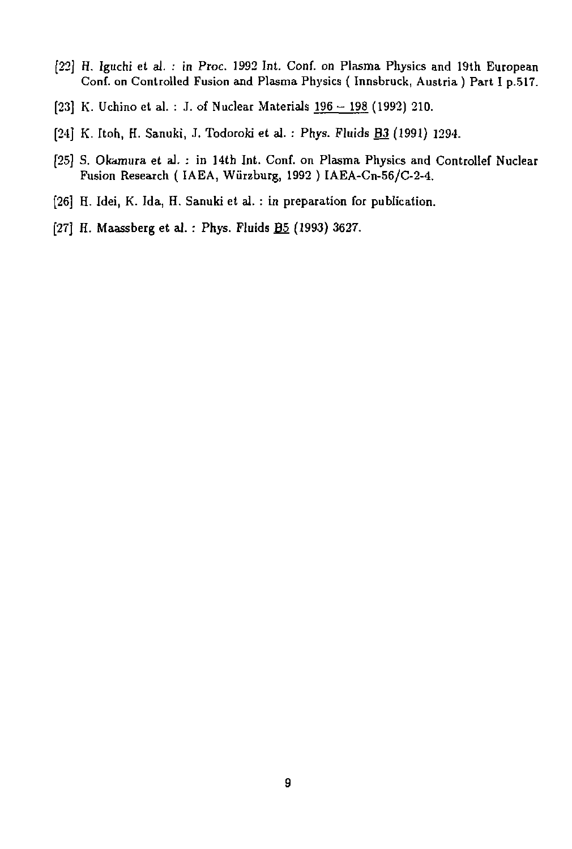- [22] H. Iguchi et al. : in Proc. 1992 Int. Conf. on Plasma Physics and 19th European Conf. on Controlled Fusion and Plasma Physics ( Innsbruck, Austria ) Part I p.517.
- [23] K. Uchino et al. : J. of Nuclear Materials 196 198 (1992) 210.
- [24] K. Itoh, H. Sanuki, J. Todoroki et al. : Phys. Fluids B3 (1991) 1294.
- [25] S. Okamura et al. : in 14th Int. Conf. on Plasma Physics and Controllef Nuclear Fusion Research ( IAEA, Wiirzburg, 1992 ) IAEA-Cn-56/C-2-4.
- [26] H. Idei, K. Ida, H. Sanuki et al. : in preparation for publication.
- [27] H. Maassberg et al.: Phys. Fluids **B**<sub>2</sub> (1993) 3627.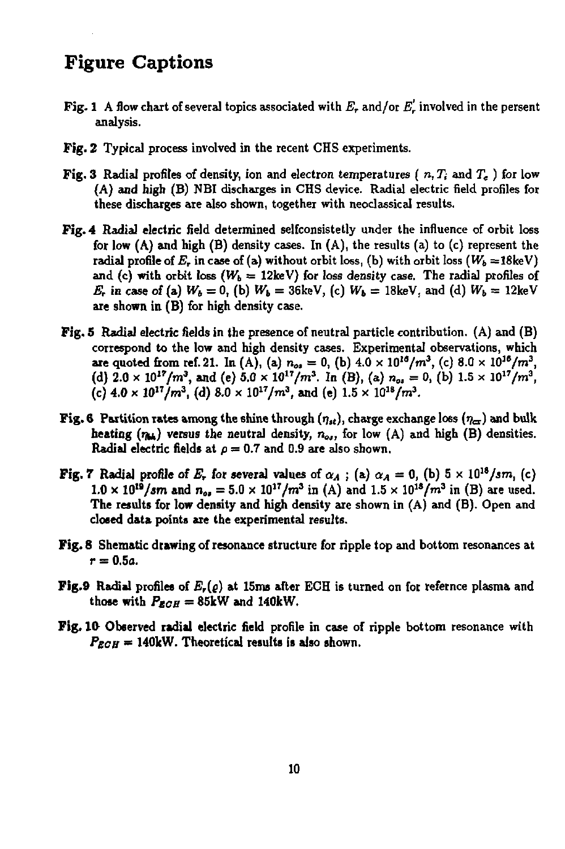# Figure Captions

- **Fig. 1** A flow chart of several topics associated with  $E_r$  and/or  $E'_r$  involved in the persent **analysis.**
- **Fig. 2 Typical process involved in the recent CHS experiments.**
- **Fig. 3 Radial profiles of density, ion and electron temperatures (** *n, Ti* **and T« ) for low (A) and high (B) NBI discharges in CHS device. Radial electric field profiles for these discharges are also shown, together with neoclassical results.**
- **Fig. 4 Radial electric field determined selfconsistetly under the influence of orbit loss for low (A) and high (B) density cases. In (A), the results (a) to (c) represent the radial profile of**  $E_r$  **in case of (a) without orbit loss, (b) with orbit loss**  $(W_b = 18 \text{ keV})$ and (c) with orbit loss  $(W_b = 12 \text{keV})$  for loss density case. The radial profiles of *E*<sub>*r*</sub> in case of (a)  $W_b = 0$ , (b)  $W_b = 36 \text{keV}$ , (c)  $W_b = 18 \text{keV}$ , and (d)  $W_b = 12 \text{keV}$ **are shown in (B) for high density case.**
- **Fig. 5 Radial electric fields in the presence of neutral particle contribution. (A) and (B) correspond to the low and high density cases. Experimental observations, which are** quoted from ref. 21. In (A), (a)  $n_{os} = 0$ , (b)  $4.0 \times 10^{16}/m^3$ , (c)  $8.0 \times 10^{16}/m^3$ , (d)  $2.0 \times 10^{17}/m^3$ , and (e)  $5.0 \times 10^{17}/m^3$ . In (B), (a)  $n_{0s} = 0$ , (b)  $1.5 \times 10^{17}/m^3$ , (c)  $4.0 \times 10^{17}/m^3$ , (d)  $8.0 \times 10^{17}/m^3$ , and (e)  $1.5 \times 10^{18}/m^3$ .
- **Fig. 6** Partition rates among the shine through  $(\eta_{st})$ , charge exchange loss  $(\eta_{at})$  and bulk **beating**  $(n_{14})$  **versus the neutral density,**  $n_{04}$ , for low (A) and high (B) densities. **Radial electric fields at**  $p = 0.7$  and 0.9 are also shown.
- **Fig. 7** Radial profile of  $E_r$  for several values of  $\alpha_A$ ; (a)  $\alpha_A = 0$ , (b)  $5 \times 10^{18} / \text{sm}$ , (c)  $1.0 \times 10^{19} / \text{sm}$  and  $n_{\text{o}} = 5.0 \times 10^{17} / \text{m}^3$  in (A) and  $1.5 \times 10^{18} / \text{m}^3$  in (B) are used. **The results for low density and high density are shown in (A) and (B). Open and closed data points are the experimental results.**
- **Fig. 8 Shematic drawing of resonance structure for ripple top and bottom resonances at r = 0.5a.**
- **Fig.9 Radial profiles of** *E,(Q)* **at 15ms after ECH is turned on for refernce plasma and those with**  $P_{ECH} = 85$ kW and 140kW.
- **Fig. 10- Observed radial electric field profile in case of ripple bottom resonance with**   $P_{ECH} = 140$ kW. Theoretical results is also shown.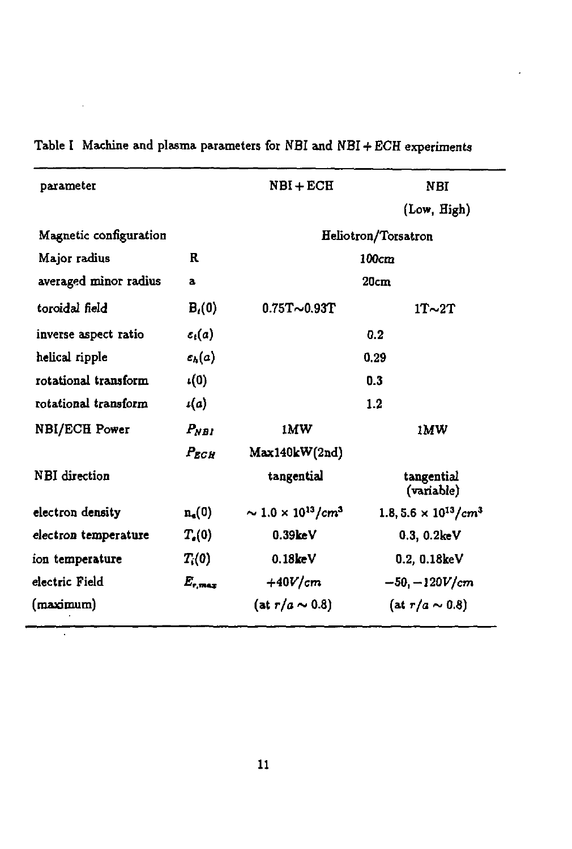| parameter              |                    | $NBI + ECH$                             | NBI                                                 |
|------------------------|--------------------|-----------------------------------------|-----------------------------------------------------|
|                        |                    |                                         | (Low, High)                                         |
| Magnetic configuration |                    | Heliotron/Torsatron                     |                                                     |
| Major radius           | R                  | 100cm                                   |                                                     |
| averaged minor radius  | a                  | 20cm                                    |                                                     |
| toroidal field         | $B_i(0)$           | $0.75T - 0.93T$                         | $1T\sim 2T$                                         |
| inverse aspect ratio   | $c_i(a)$           | 0.2                                     |                                                     |
| helical ripple         | $\varepsilon_h(a)$ | 0.29                                    |                                                     |
| rotational transform   | $\iota(0)$         | 0.3                                     |                                                     |
| rotational transform   | $\iota(a)$         | 1.2                                     |                                                     |
| NBI/ECH Power          | $P_{NPI}$          | 1MW                                     | 1MW                                                 |
|                        | $P_{ECH}$          | Max140kW(2nd)                           |                                                     |
| <b>NBI</b> direction   |                    | tangential                              | tangential<br>(variable)                            |
| electron density       | $n_{\rm s}(0)$     | $\sim 1.0 \times 10^{13} / \text{cm}^3$ | 1.8, 5.6 $\times$ 10 <sup>13</sup> /cm <sup>3</sup> |
| electron temperature   | $T_e(0)$           | 0.39keV                                 | 0.3, 0.2keV                                         |
| ion temperature        | $T_i(0)$           | 0.18 <sub>keV</sub>                     | 0.2, 0.18keV                                        |
| electric Field         | $E_{\rm max}$      | $+40V/cm$                               | $-50, -120V/cm$                                     |
| (maximum)              |                    | (at $r/a \sim 0.8$ )                    | $(at r/a \sim 0.8)$                                 |
|                        |                    |                                         |                                                     |

**Table I Machine and plasma parameters for NBI and NBI + ECH experiments** 

 $\ddot{\phantom{a}}$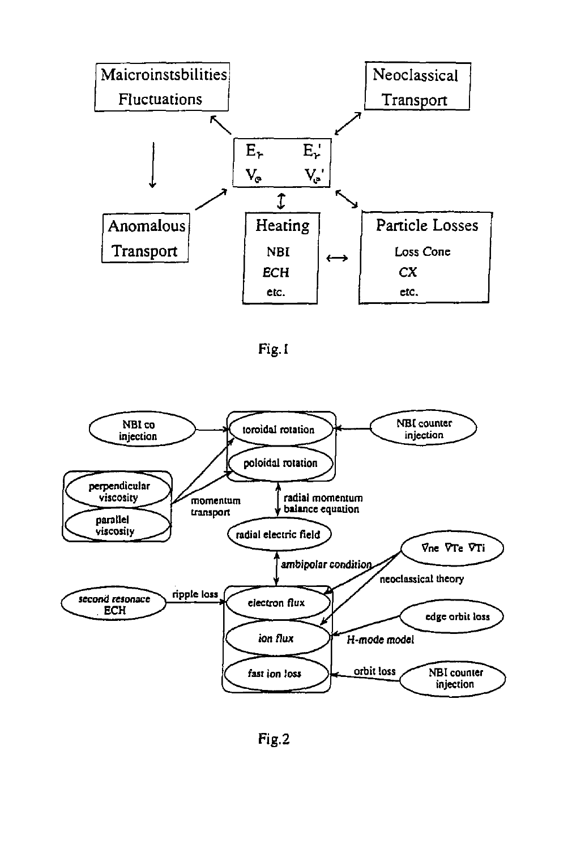

Fig. I



Fig.2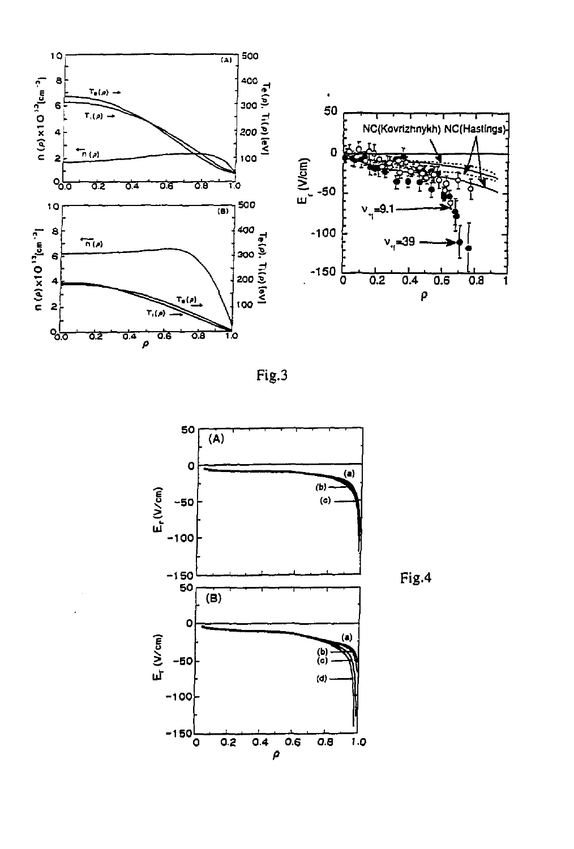

Fig.3



Fig.4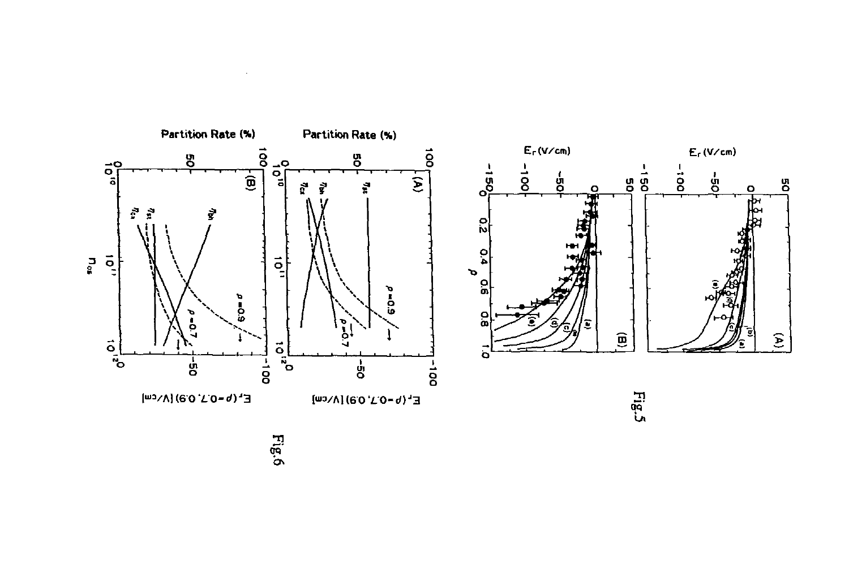

*b-*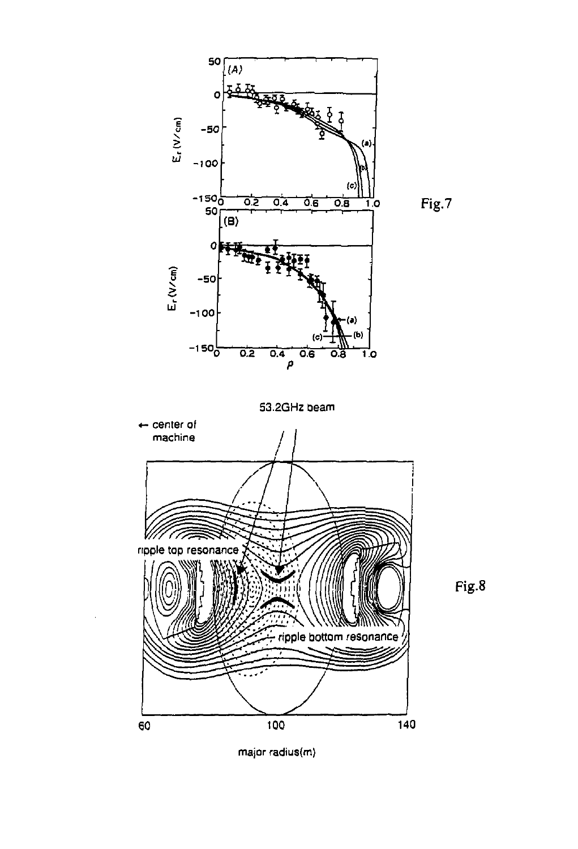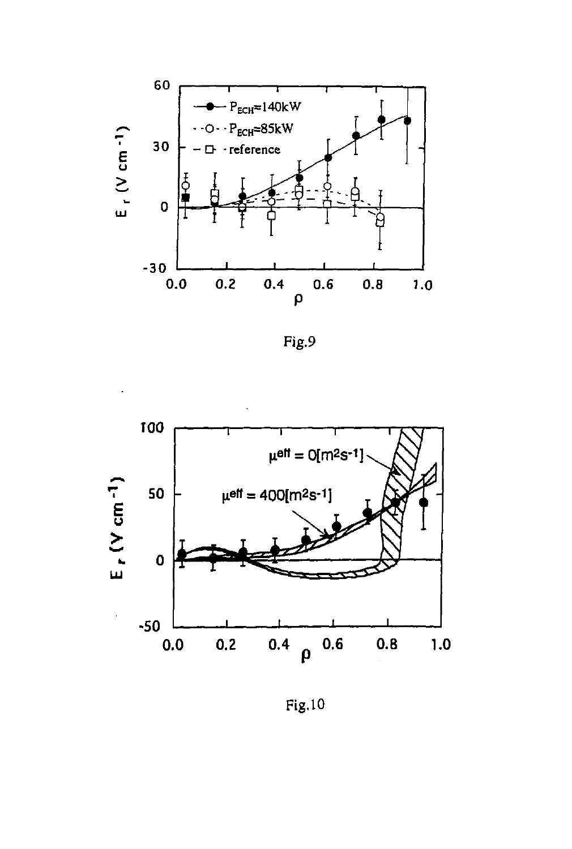

Fig.9



Fig.10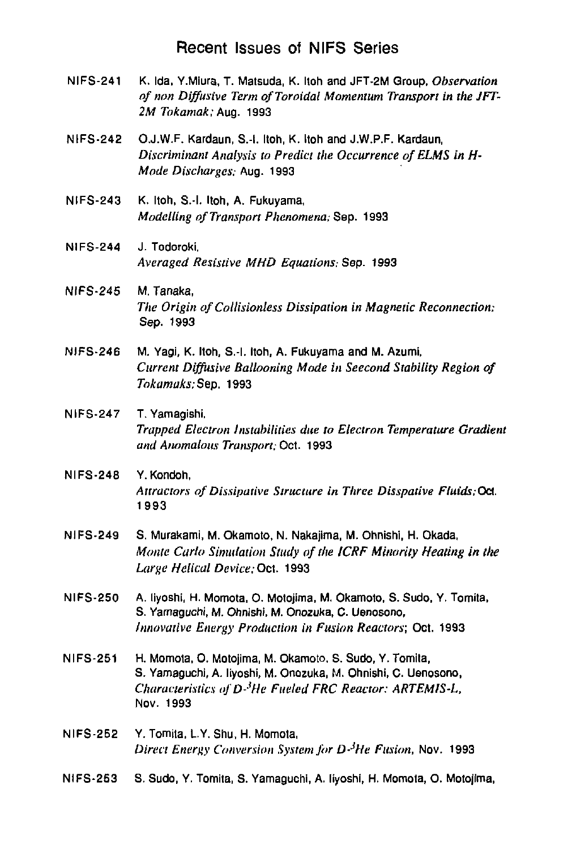#### Recent Issues of NIFS Series

- NIFS-241 K. Ida. Y.Miura, T. Matsuda, K. Itoh and JFT-2M Group, *Observation of nan Diffusive Term of Toroidal Momentum Transport in the JFT-2M Tokamak;* Aug. 1993
- NIFS-242 O.J.W.F. Kardaun, S.-l. Itoh, K. Itoh and J.W.P.F. Kardaun, *Discriminant Analysis to Predict the Occurrence of ELMS in H-Mode Discharges:* Aug. 1993
- NIFS-243 K. Itoh, S.-l. Itoh, A. Fukuyama, *Modelling of Transport Phenomena;* Sep. 1993
- NIFS-244 J. Todoroki. *Averaged Resistive MHD Equations;* Sep. 1993
- NIFS-245 M. Tanaka, *The Origin of Collisionless Dissipation in Magnetic Reconnection;*  Sep. 1993
- NIFS-246 M. Yagi, K. Itoh, S.-l. Itoh, A. Fukuyama and M. Azumi, *Current Diffusive Ballooning Mode in Seecond Stability Region of Tokamaks;* Sep. 1993
- NIFS-247 T. Yamagishi. *Trapped Electron Instabilities due to Electron Temperature Gradient and Anomalous Transport;* Oct. 1993
- NIFS-248 Y.Kondoh, *Attractors of Dissipative Structure in Three Disspative Fluids.Oa.*  1993
- NIFS-249 S. Murakami, M. Okamoto, N. Nakajima, M. Ohnishi, H. Okada, *Monte Carlo Simulation Study of the ICRF Minority Heating in the Large Helical Device;* Oct. 1993
- NIFS-250 A. liyoshi, H. Momota, O. Motojima, M. Okamoto, S. Sudo, Y. Tomita, S. Yamaguchi, M. Ohnishi, M. Onozuka, C. Uenosono, *Innovative Energy Production in Fusion Reactors;* Oct. 1993
- NIFS-251 H. Momola, 0. Motojima, M. Okamoto, S. Sudo, Y. Tomila, S. Yamaguchi, A. liyoshi, M. Onozuka, M. Ohnishi, C. Uenosono, *Characteristics ofD-'He Fueled FRC Reactor: ARTEM1S-L,*  Nov. 1993
- NIFS-252 Y. Tomita, L.Y. Shu, H. Momota, *Direct Energy Conversion System for D-JHe Fusion,* Nov. 1993
- NIFS-253 S. Sudo, Y. Tomita, S. Yamaguchi, A. liyoshi, H. Momota, O. Motojima,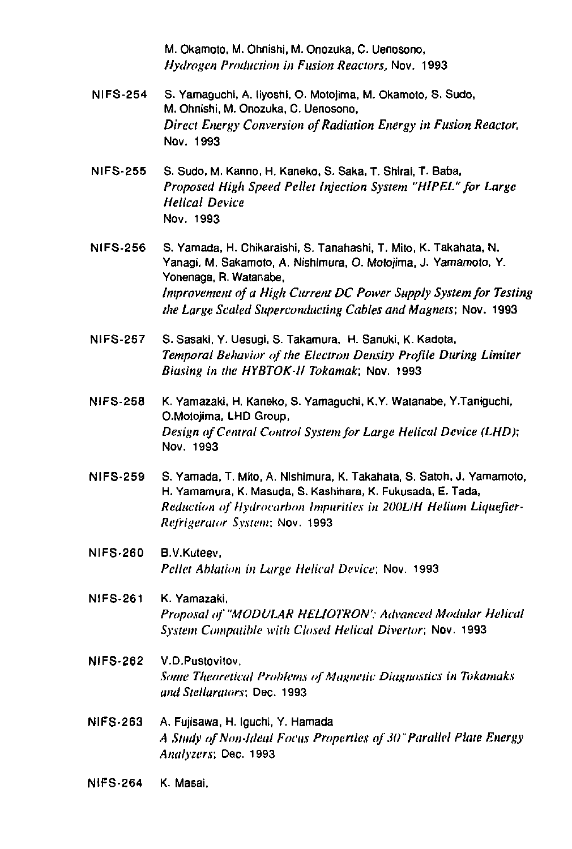M. Okamolo, M. Ohnishi, M. Onozuka, C. Uenosono, *Hydrogen Production in Fusion Reactors,* Nov. 1993

- NIFS-254 S. Yamaguchi, A. liyoshi, O. Motojima, M. Okamoto, S. Sudo, M. Ohnishi, M. Onozuka, C. Uenosono, *Direct Energy Conversion of Radiation Energy in Fusion Reactor,*  Nov. 1993
- NIFS-255 S. Sudo, M. Kanno, H. Kaneko, S. Saka, T. Shirai, T. Baba, *Proposed High Speed Pellet Injection System "HIPEL" for Large Helical Device*  Nov. 1993
- NIFS-256 S. Yamada, H. Chikaraishi, S. Tanahashi, T. Mito, K. Takahata, N. Yanagi, M. Sakamoto, A. Nishimura, O. Motojima, J. Yamamoto, Y. Yonenaga, R. Watanabe, *Improvement of a High Current DC Power Supply System for Testing the Large Scaled Superconducting Cables and Magnets;* Nov. 1993
- NIFS-257 S. Sasaki, Y. Uesugi, S. Takamura, H. Sanuki, K. Kadota, *Temporal Behavior of the Electron Density Profile During Limiter Biasing in the HYBTOK-ll Tokamak:* Nov. 1993
- NIFS-258 K. Yamazaki, H. Kaneko, S. Yamaguchi, K.Y. Watanabe, Y.Taniguohi, CMolojima, LHD Group, *Design of Central Control System for Large Helical Device (LHD);*  Nov. 1993
- NIFS-259 S. Yamada, T. Mito, A. Nishimura, K. Takahata, S. Satoh, J. Yamamoto, H. Yamamura, K. Masuda, S. Kashihara, K. Fukusada, E. Tada, *Reduction of Hydrocarbon Impurities in 2U0LIH Helium Liquefier-Refrigeraior System;* Nov. 1993
- NIFS-260 B.V.Kuteev, *Pellet Ablation in Large Helical Device;* Nov. 1993
- NIFS-261 K. Yamazaki, *Proposal of 'MODULAR HEUOTRON': Advanced Modular Helical System Compatible with Closed Helical Divenor,* Nov. 1993
- NIFS-262 V.D.Pustovitov, *Some Theoretical Problems of Magnetic Diagnostics in Tokamaks and Stellurutors;* Dec. 1993
- NIFS-263 A. Fujisawa, H. Iguchi, Y. Hamada *A Study of Non-Ideal Focus Properties of JO"Parallel Plate Energy Analyzers;* Dec. 1993
- NIFS-264 K. Masai,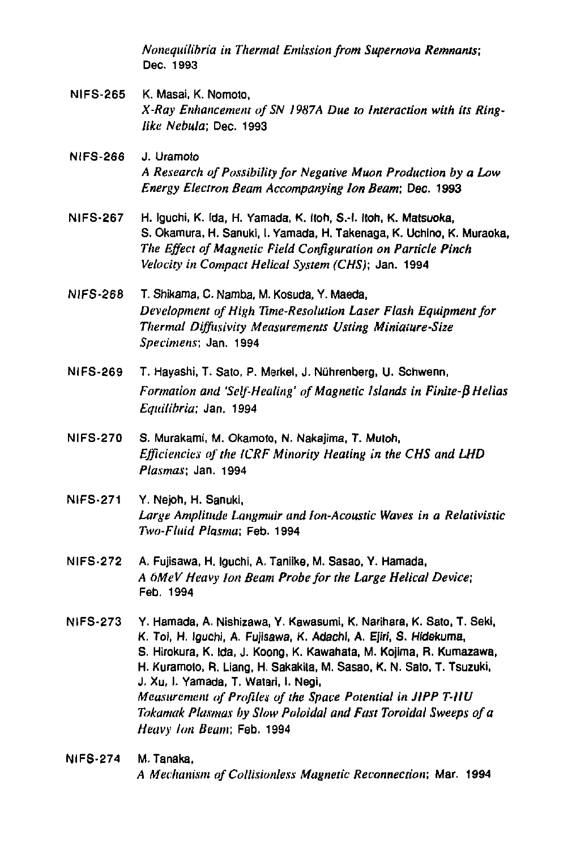*Nonequilibria in Thermal Emission from Supernova Remnants;*  Dec. 1993

- NIFS-265 K. Masai, K. Nomoto, *X-Ray Enhancement of SN 1987A Due to Interaction with its Ringlike Nebula;* Dec. 1993
- NIFS-266 J. Uramoto *A Research of Possibility for Negative Muon Production by a Low Energy Electron Beam Accompanying Ion Beam;* Dec. 1993
- NIFS-267 H. Iguchi, K. Ida, H. Yamada, K. Itoh, S.-l. Itoh, K. Matsuoka, S. Okamura, H. Sanuki, I. Yamada, H. Takenaga, K. Uchino, K. Muraoka, *The Effect of Magnetic Field Configuration on Particle Pinch Velocity in Compact Helical System (CHS);* Jan. 1994
- NIFS-268 T. Shikama, C. Namba, M. Kosuda, Y. Maeda, *Development of High Time-Resolution Laser Flash Equipment for*  **Thermal Diffusivity Measurements Usting Miniature-Size** *Specimens;* Jan. 1994
- NIFS-269 T. Hayashi, T. Sato, P. Merkel, J. Niihrenberg, U. Schwenn, *Formation and 'Self-Healing' of Magnetic Islands in Finite-B Helias Equilibria;* Jan. 1994
- NIFS-270 S. Murakami, M. Okamoto, N. Nakajima, T. Mutoh, *Efficiencies of the ICRF Minority Heating in the CHS and LHD Plasmas;* Jan. 1994
- NIFS-271 Y. Nejoh, H. Sanuki, *Large Amplitude Langmuir and Ion-Acoustic Waves in a Relativistic Two-Fluid Plasma;* Feb. 1994
- NlFS-272 A. Fujisawa, H. Iguchi, A. Taniike, M. Sasao, Y. Hamada, *A bMeV Heavy Ion Beam Probe for the Large Helical Device;*  Feb. 1994
- NIFS-273 Y. Hamada, A. Nishizawa, Y. Kawasumi, K. Narihara, K. Sato, T. Sekl, K. Toi, H. Iguchi, A. Fujisawa, K. Adachi, A. Ejiri, S. Hidekuma, S. Hirokura, K. Ida, J. Koong, K. Kawahata, M. Kojima, R. Kumazawa, H. Kuramoto, R. Liang, H. Sakakila, M. Sasao, K. N. Sato, T. Tsuzuki, J. Xu, I. Yamada, T. Watari, I. Negi, *Measurement of Profiles of the Space Potential in JIPP T-IIU Tokamak Plasmas by Slow Poloidal and Fast Toroidal Sweeps of a Heavy Ion Beam;* Feb. 1994
- NIFS-274 M.Tanaka, *A Mechanism of Coiiisiunless Magnetic Reconnection;* Mar. 1994